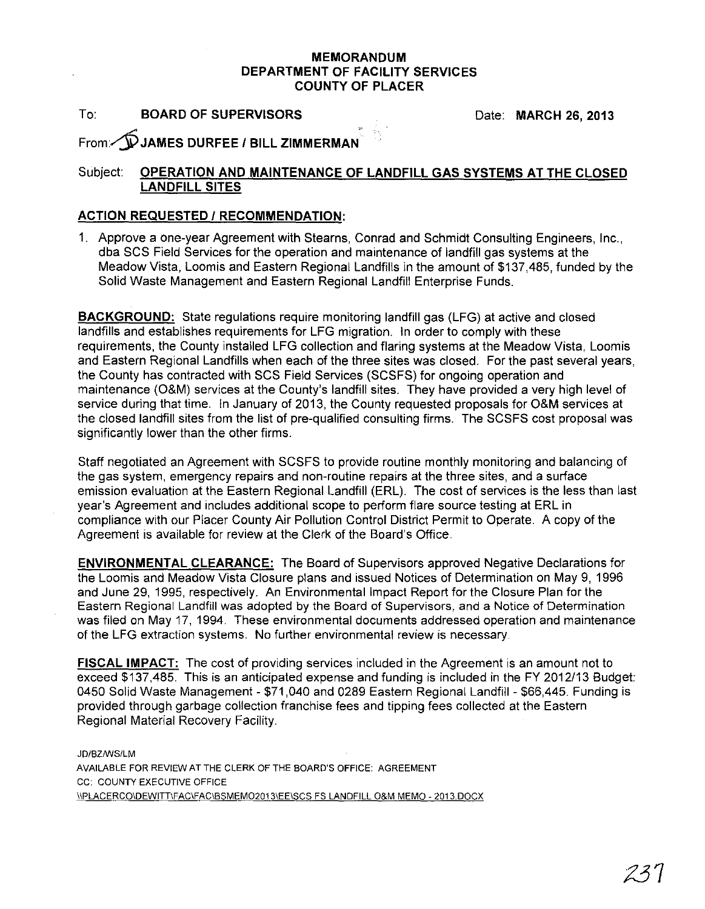## MEMORANDUM DEPARTMENT OF FACILITY SERVICES COUNTY OF PLACER

To: BOARD OF SUPERVISORS

Date: MARCH 26, 2013

From: DJAMES DURFEE / BILL ZIMMERMAN

## Subject: OPERATION AND MAINTENANCE OF LANDFILL GAS SYSTEMS AT THE CLOSED LANDFILL SITES

## ACTION REQUESTED / RECOMMENDATION:

1. Approve a one-year Agreement with Stearns, Conrad and Schmidt Consulting Engineers, Inc., dba SCS Field Services for the operation and maintenance of landfill gas systems at the Meadow Vista, Loomis and Eastern Regional Landfills in the amount of \$137,485, funded by the Solid Waste Management and Eastern Regional Landfill Enterprise Funds.

BACKGROUND: State regulations require monitoring landfill gas (LFG) at active and closed landfills and establishes requirements for LFG migration. In order to comply with these requirements, the County installed LFG collection and flaring systems at the Meadow Vista, Loomis and Eastern Regional Landfills when each of the three sites was closed. For the past several years, the County has contracted with SCS Field Services (SCSFS) for ongoing operation and maintenance (O&M) services at the County's landfill sites. They have provided a very high level of service during that time. In January of 2013, the County requested proposals for O&M services at the closed landfill sites from the list of pre-qualified consulting firms. The SCSFS cost proposal was significantly lower than the other firms.

Staff negotiated an Agreement with SCSFS to provide routine monthly monitoring and balancing of the gas system, emergency repairs and non-routine repairs at the three sites, and a surface emission evaluation at the Eastern Regional Landfill (ERL). The cost of services is the less than last year's Agreement and includes additional scope to perform flare source testing at ERL in compliance with our Placer County Air Pollution Control District Permit to Operate. A copy of the Agreement is available for review at the Clerk of the Board's Office.

ENVIRONMENTAL CLEARANCE: The Board of Supervisors approved Negative Declarations for the Loomis and Meadow Vista Closure plans and issued Notices of Determination on May 9, 1996 and June 29, 1995, respectively. An Environmental Impact Report for the Closure Plan for the Eastern Regional Landfill was adopted by the Board of Supervisors, and a Notice of Determination was filed on May 17,1994. These environmental documents addressed operation and maintenance of the LFG extraction systems. No further environmental review is necessary.

FISCAL IMPACT: The cost of providing services included in the Agreement is an amount not to exceed \$137,485. This is an anticipated expense and funding is included in the FY 2012/13 Budget: 0450 Solid Waste Management - \$71,040 and 0289 Eastern Regional Landfill - \$66,445. Funding is provided through garbage collection franchise fees and tipping fees collected at the Eastern Regional Material Recovery Facility.

JD/BZNVS/LM AVAILABLE FOR REVIEW AT THE CLERK OF THE BOARD'S OFFICE: AGREEMENT CC: COUNTY EXECUTIVE OFFICE IIPLACERCOIDEWITTIFACIFACIBSMEM020131EEISCS FS LANDFILL O&M MEMO - 2013.DOCX